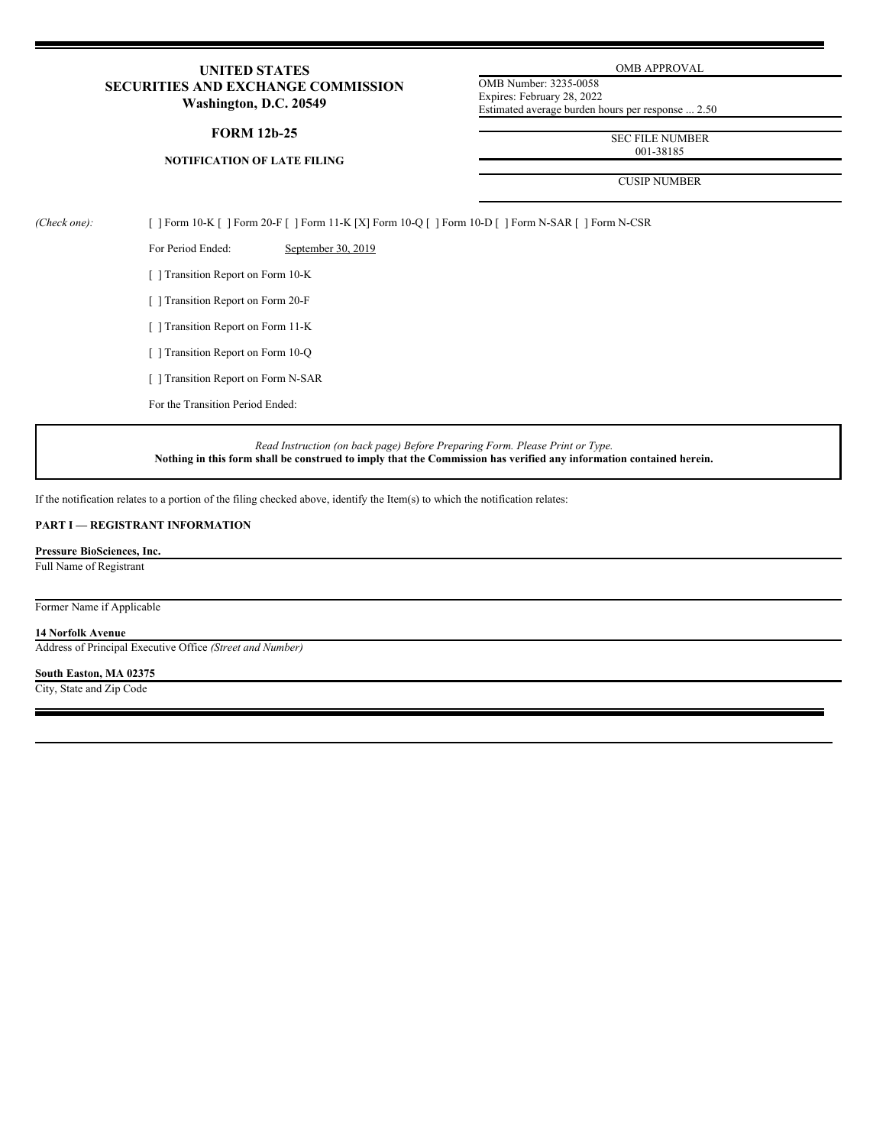# **UNITED STATES SECURITIES AND EXCHANGE COMMISSION Washington, D.C. 20549**

### **FORM 12b-25**

# **NOTIFICATION OF LATE FILING**

OMB APPROVAL

OMB Number: 3235-0058 Expires: February 28, 2022 Estimated average burden hours per response ... 2.50

> SEC FILE NUMBER 001-38185

CUSIP NUMBER

*(Check one):* [ ] Form 10-K [ ] Form 20-F [ ] Form 11-K [X] Form 10-Q [ ] Form 10-D [ ] Form N-SAR [ ] Form N-CSR

For Period Ended: September 30, 2019

[ ] Transition Report on Form 10-K

[ ] Transition Report on Form 20-F

[ ] Transition Report on Form 11-K

[ ] Transition Report on Form 10-Q

[ ] Transition Report on Form N-SAR

For the Transition Period Ended:

*Read Instruction (on back page) Before Preparing Form. Please Print or Type.* Nothing in this form shall be construed to imply that the Commission has verified any information contained herein.

If the notification relates to a portion of the filing checked above, identify the Item(s) to which the notification relates:

# **PART I — REGISTRANT INFORMATION**

**Pressure BioSciences, Inc.** Full Name of Registrant

Former Name if Applicable

#### **14 Norfolk Avenue**

Address of Principal Executive Office *(Street and Number)*

# **South Easton, MA 02375**

City, State and Zip Code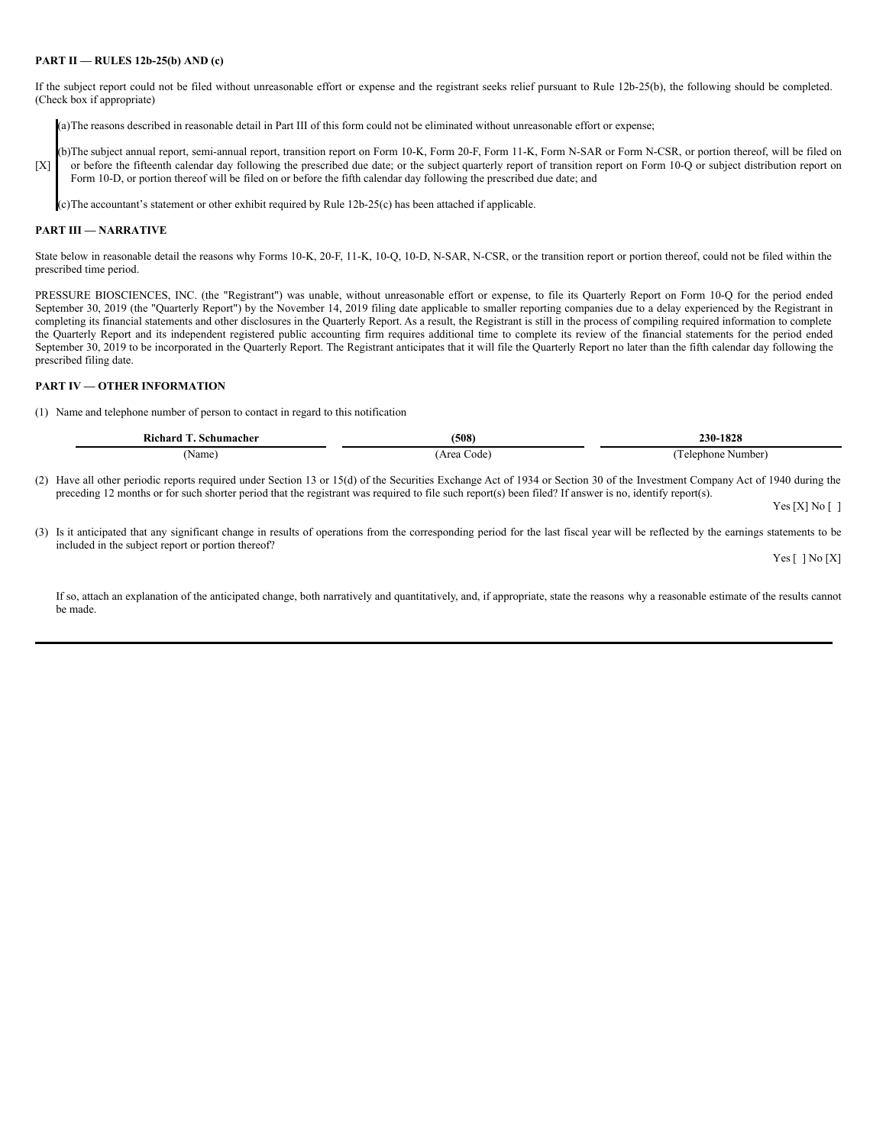### **PART II — RULES 12b-25(b) AND (c)**

If the subject report could not be filed without unreasonable effort or expense and the registrant seeks relief pursuant to Rule 12b-25(b), the following should be completed. (Check box if appropriate)

(a)The reasons described in reasonable detail in Part III of this form could not be eliminated without unreasonable effort or expense;

[X] b)The subject annual report, semi-annual report, transition report on Form 10-K, Form 20-F, Form 11-K, Form N-SAR or Form N-CSR, or portion thereof, will be filed on or before the fifteenth calendar day following the prescribed due date; or the subject quarterly report of transition report on Form 10-Q or subject distribution report on Form 10-D, or portion thereof will be filed on or before the fifth calendar day following the prescribed due date; and

(c)The accountant's statement or other exhibit required by Rule 12b-25(c) has been attached if applicable.

#### **PART III — NARRATIVE**

State below in reasonable detail the reasons why Forms 10-K, 20-F, 11-K, 10-Q, 10-D, N-SAR, N-CSR, or the transition report or portion thereof, could not be filed within the prescribed time period.

PRESSURE BIOSCIENCES, INC. (the "Registrant") was unable, without unreasonable effort or expense, to file its Quarterly Report on Form 10-Q for the period ended September 30, 2019 (the "Quarterly Report") by the November 14, 2019 filing date applicable to smaller reporting companies due to a delay experienced by the Registrant in completing its financial statements and other disclosures in the Quarterly Report. As a result, the Registrant is still in the process of compiling required information to complete the Quarterly Report and its independent registered public accounting firm requires additional time to complete its review of the financial statements for the period ended September 30, 2019 to be incorporated in the Quarterly Report. The Registrant anticipates that it will file the Quarterly Report no later than the fifth calendar day following the prescribed filing date.

#### **PART IV — OTHER INFORMATION**

(1) Name and telephone number of person to contact in regard to this notification

| Richard<br>Schumacher | (508)      | 230-1828                |
|-----------------------|------------|-------------------------|
| Name,                 | 'Area Code | : Number)<br>l'elephone |

(2) Have all other periodic reports required under Section 13 or 15(d) of the Securities Exchange Act of 1934 or Section 30 of the Investment Company Act of 1940 during the preceding 12 months or for such shorter period that the registrant was required to file such report(s) been filed? If answer is no, identify report(s).

Yes [X] No [ ]

(3) Is it anticipated that any significant change in results of operations from the corresponding period for the last fiscal year will be reflected by the earnings statements to be included in the subject report or portion thereof?

Yes [ ] No [X]

If so, attach an explanation of the anticipated change, both narratively and quantitatively, and, if appropriate, state the reasons why a reasonable estimate of the results cannot be made.